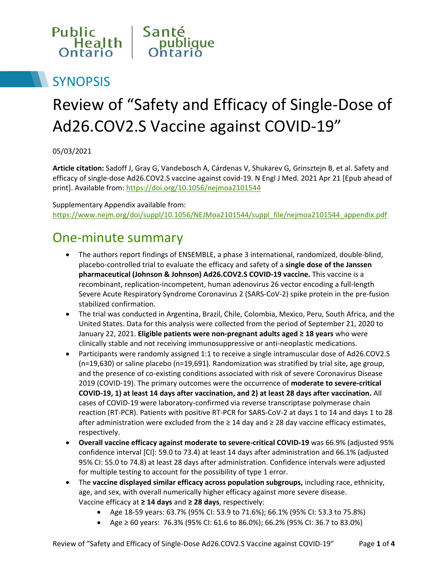

## **SYNOPSIS**

# Review of "Safety and Efficacy of Single-Dose of Ad26.COV2.S Vaccine against COVID-19"

05/03/2021

**Article citation:** Sadoff J, Gray G, Vandebosch A, Cárdenas V, Shukarev G, Grinsztejn B, et al. Safety and efficacy of single-dose Ad26.COV2.S vaccine against covid-19. N Engl J Med. 2021 Apr 21 [Epub ahead of print]. Available from[: https://doi.org/10.1056/nejmoa2101544](https://doi.org/10.1056/nejmoa2101544)

Supplementary Appendix available from: [https://www.nejm.org/doi/suppl/10.1056/NEJMoa2101544/suppl\\_file/nejmoa2101544\\_appendix.pdf](https://www.nejm.org/doi/suppl/10.1056/NEJMoa2101544/suppl_file/nejmoa2101544_appendix.pdf)

#### One-minute summary

- The authors report findings of ENSEMBLE, a phase 3 international, randomized, double-blind, placebo-controlled trial to evaluate the efficacy and safety of a **single dose of the Janssen pharmaceutical (Johnson & Johnson) Ad26.COV2.S COVID-19 vaccine.** This vaccine is a recombinant, replication-incompetent, human adenovirus 26 vector encoding a full-length Severe Acute Respiratory Syndrome Coronavirus 2 (SARS-CoV-2) spike protein in the pre-fusion stabilized confirmation.
- The trial was conducted in Argentina, Brazil, Chile, Colombia, Mexico, Peru, South Africa, and the United States. Data for this analysis were collected from the period of September 21, 2020 to January 22, 2021. **Eligible patients were non-pregnant adults aged ≥ 18 years** who were clinically stable and not receiving immunosuppressive or anti-neoplastic medications.
- Participants were randomly assigned 1:1 to receive a single intramuscular dose of Ad26.COV2.S (n=19,630) or saline placebo (n=19,691). Randomization was stratified by trial site, age group, and the presence of co-existing conditions associated with risk of severe Coronavirus Disease 2019 (COVID-19). The primary outcomes were the occurrence of **moderate to severe-critical COVID-19, 1) at least 14 days after vaccination, and 2) at least 28 days after vaccination.** All cases of COVID-19 were laboratory-confirmed via reverse transcriptase polymerase chain reaction (RT-PCR). Patients with positive RT-PCR for SARS-CoV-2 at days 1 to 14 and days 1 to 28 after administration were excluded from the  $\geq 14$  day and  $\geq 28$  day vaccine efficacy estimates, respectively.
- **Overall vaccine efficacy against moderate to severe-critical COVID-19** was 66.9% (adjusted 95% confidence interval [CI]: 59.0 to 73.4) at least 14 days after administration and 66.1% (adjusted 95% CI: 55.0 to 74.8) at least 28 days after administration. Confidence intervals were adjusted for multiple testing to account for the possibility of type 1 error.
- The **vaccine displayed similar efficacy across population subgroups,** including race, ethnicity, age, and sex, with overall numerically higher efficacy against more severe disease. Vaccine efficacy at **≥ 14 days** and **≥ 28 days**, respectively:
	- Age 18-59 years: 63.7% (95% CI: 53.9 to 71.6%); 66.1% (95% CI: 53.3 to 75.8%)
	- Age ≥ 60 years: 76.3% (95% CI: 61.6 to 86.0%); 66.2% (95% CI: 36.7 to 83.0%)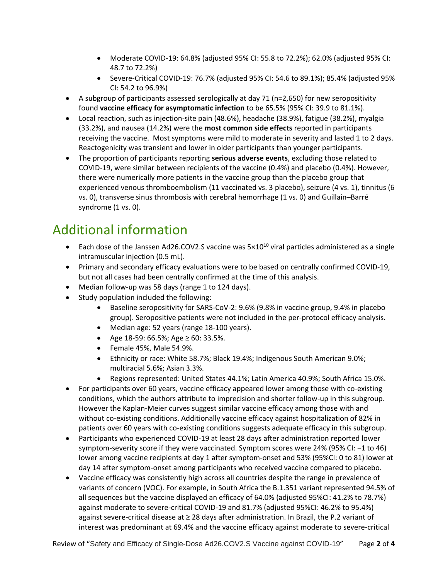- Moderate COVID-19: 64.8% (adjusted 95% CI: 55.8 to 72.2%); 62.0% (adjusted 95% CI: 48.7 to 72.2%)
- Severe-Critical COVID-19: 76.7% (adjusted 95% CI: 54.6 to 89.1%); 85.4% (adjusted 95% CI: 54.2 to 96.9%)
- A subgroup of participants assessed serologically at day 71 ( $n=2,650$ ) for new seropositivity found **vaccine efficacy for asymptomatic infection** to be 65.5% (95% CI: 39.9 to 81.1%).
- Local reaction, such as injection-site pain (48.6%), headache (38.9%), fatigue (38.2%), myalgia (33.2%), and nausea (14.2%) were the **most common side effects** reported in participants receiving the vaccine. Most symptoms were mild to moderate in severity and lasted 1 to 2 days. Reactogenicity was transient and lower in older participants than younger participants.
- The proportion of participants reporting **serious adverse events**, excluding those related to COVID-19, were similar between recipients of the vaccine (0.4%) and placebo (0.4%). However, there were numerically more patients in the vaccine group than the placebo group that experienced venous thromboembolism (11 vaccinated vs. 3 placebo), seizure (4 vs. 1), tinnitus (6 vs. 0), transverse sinus thrombosis with cerebral hemorrhage (1 vs. 0) and Guillain–Barré syndrome (1 vs. 0).

## Additional information

- Each dose of the Janssen Ad26.COV2.S vaccine was  $5 \times 10^{10}$  viral particles administered as a single intramuscular injection (0.5 mL).
- Primary and secondary efficacy evaluations were to be based on centrally confirmed COVID-19, but not all cases had been centrally confirmed at the time of this analysis.
- Median follow-up was 58 days (range 1 to 124 days).
- Study population included the following:
	- Baseline seropositivity for SARS-CoV-2: 9.6% (9.8% in vaccine group, 9.4% in placebo group). Seropositive patients were not included in the per-protocol efficacy analysis.
	- Median age: 52 years (range 18-100 years).
	- Age 18-59: 66.5%; Age ≥ 60: 33.5%.
	- Female 45%, Male 54.9%.
	- Ethnicity or race: White 58.7%; Black 19.4%; Indigenous South American 9.0%; multiracial 5.6%; Asian 3.3%.
	- Regions represented: United States 44.1%; Latin America 40.9%; South Africa 15.0%.
- For participants over 60 years, vaccine efficacy appeared lower among those with co-existing conditions, which the authors attribute to imprecision and shorter follow-up in this subgroup. However the Kaplan-Meier curves suggest similar vaccine efficacy among those with and without co-existing conditions. Additionally vaccine efficacy against hospitalization of 82% in patients over 60 years with co-existing conditions suggests adequate efficacy in this subgroup.
- Participants who experienced COVID-19 at least 28 days after administration reported lower symptom-severity score if they were vaccinated. Symptom scores were 24% (95% CI: −1 to 46) lower among vaccine recipients at day 1 after symptom-onset and 53% (95%CI: 0 to 81) lower at day 14 after symptom-onset among participants who received vaccine compared to placebo.
- Vaccine efficacy was consistently high across all countries despite the range in prevalence of variants of concern (VOC). For example, in South Africa the B.1.351 variant represented 94.5% of all sequences but the vaccine displayed an efficacy of 64.0% (adjusted 95%CI: 41.2% to 78.7%) against moderate to severe-critical COVID-19 and 81.7% (adjusted 95%CI: 46.2% to 95.4%) against severe-critical disease at ≥ 28 days after administration. In Brazil, the P.2 variant of interest was predominant at 69.4% and the vaccine efficacy against moderate to severe-critical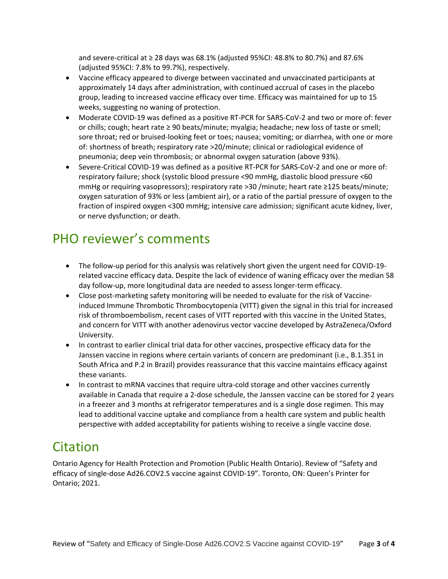and severe-critical at  $\geq 28$  days was 68.1% (adjusted 95%CI: 48.8% to 80.7%) and 87.6% (adjusted 95%CI: 7.8% to 99.7%), respectively.

- Vaccine efficacy appeared to diverge between vaccinated and unvaccinated participants at approximately 14 days after administration, with continued accrual of cases in the placebo group, leading to increased vaccine efficacy over time. Efficacy was maintained for up to 15 weeks, suggesting no waning of protection.
- Moderate COVID-19 was defined as a positive RT-PCR for SARS-CoV-2 and two or more of: fever or chills; cough; heart rate ≥ 90 beats/minute; myalgia; headache; new loss of taste or smell; sore throat; red or bruised-looking feet or toes; nausea; vomiting; or diarrhea, with one or more of: shortness of breath; respiratory rate >20/minute; clinical or radiological evidence of pneumonia; deep vein thrombosis; or abnormal oxygen saturation (above 93%).
- Severe-Critical COVID-19 was defined as a positive RT-PCR for SARS-CoV-2 and one or more of: respiratory failure; shock (systolic blood pressure <90 mmHg, diastolic blood pressure <60 mmHg or requiring vasopressors); respiratory rate >30 /minute; heart rate ≥125 beats/minute; oxygen saturation of 93% or less (ambient air), or a ratio of the partial pressure of oxygen to the fraction of inspired oxygen <300 mmHg; intensive care admission; significant acute kidney, liver, or nerve dysfunction; or death.

### PHO reviewer's comments

- The follow-up period for this analysis was relatively short given the urgent need for COVID-19 related vaccine efficacy data. Despite the lack of evidence of waning efficacy over the median 58 day follow-up, more longitudinal data are needed to assess longer-term efficacy.
- Close post-marketing safety monitoring will be needed to evaluate for the risk of Vaccineinduced Immune Thrombotic Thrombocytopenia (VITT) given the signal in this trial for increased risk of thromboembolism, recent cases of VITT reported with this vaccine in the United States, and concern for VITT with another adenovirus vector vaccine developed by AstraZeneca/Oxford University.
- In contrast to earlier clinical trial data for other vaccines, prospective efficacy data for the Janssen vaccine in regions where certain variants of concern are predominant (i.e., B.1.351 in South Africa and P.2 in Brazil) provides reassurance that this vaccine maintains efficacy against these variants.
- In contrast to mRNA vaccines that require ultra-cold storage and other vaccines currently available in Canada that require a 2-dose schedule, the Janssen vaccine can be stored for 2 years in a freezer and 3 months at refrigerator temperatures and is a single dose regimen. This may lead to additional vaccine uptake and compliance from a health care system and public health perspective with added acceptability for patients wishing to receive a single vaccine dose.

#### Citation

Ontario Agency for Health Protection and Promotion (Public Health Ontario). Review of "Safety and efficacy of single-dose Ad26.COV2.S vaccine against COVID-19". Toronto, ON: Queen's Printer for Ontario; 2021.